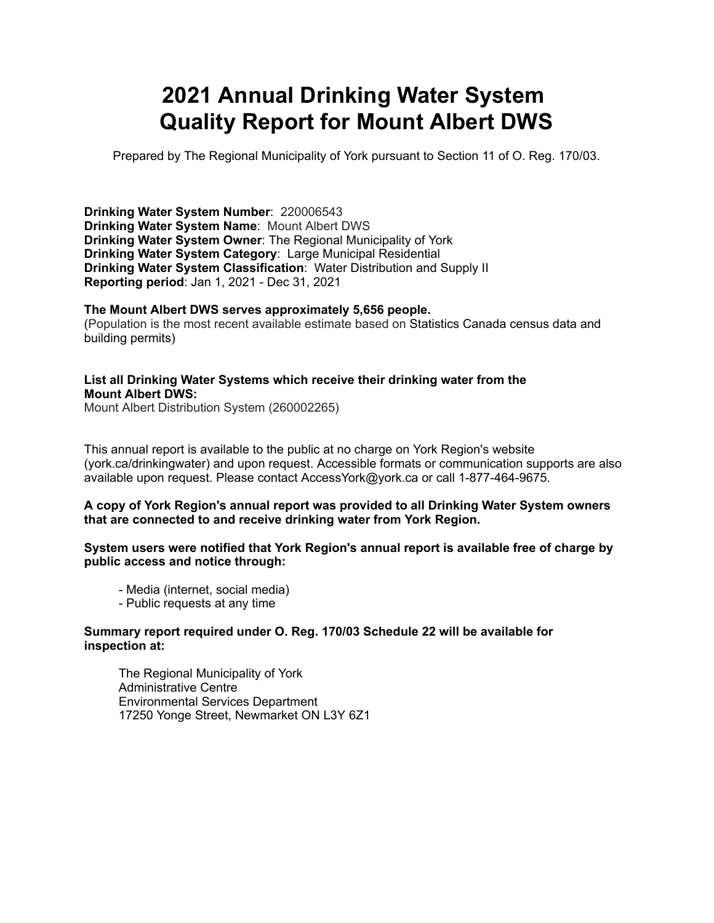# **2021 Annual Drinking Water System Quality Report for Mount Albert DWS**

Prepared by The Regional Municipality of York pursuant to Section 11 of O. Reg. 170/03.

**Drinking Water System Number**: 220006543 **Drinking Water System Name**: Mount Albert DWS **Drinking Water System Owner**: The Regional Municipality of York **Drinking Water System Category**: Large Municipal Residential **Drinking Water System Classification**: Water Distribution and Supply II **Reporting period**: Jan 1, 2021 - Dec 31, 2021

#### **The Mount Albert DWS serves approximately 5,656 people.**

(Population is the most recent available estimate based on Statistics Canada census data and building permits)

#### **List all Drinking Water Systems which receive their drinking water from the Mount Albert DWS:**

Mount Albert Distribution System (260002265)

This annual report is available to the public at no charge on York Region's website (york.ca/drinkingwater) and upon request. Accessible formats or communication supports are also available upon request. Please contact [AccessYork@york.ca](mailto:AccessYork@york.ca) or call 1-877-464-9675.

#### **A copy of York Region's annual report was provided to all Drinking Water System owners that are connected to and receive drinking water from York Region.**

#### **System users were notified that York Region's annual report is available free of charge by public access and notice through:**

- Media (internet, social media)
- Public requests at any time

#### **Summary report required under O. Reg. 170/03 Schedule 22 will be available for inspection at:**

 The Regional Municipality of York Administrative Centre Environmental Services Department 17250 Yonge Street, Newmarket ON L3Y 6Z1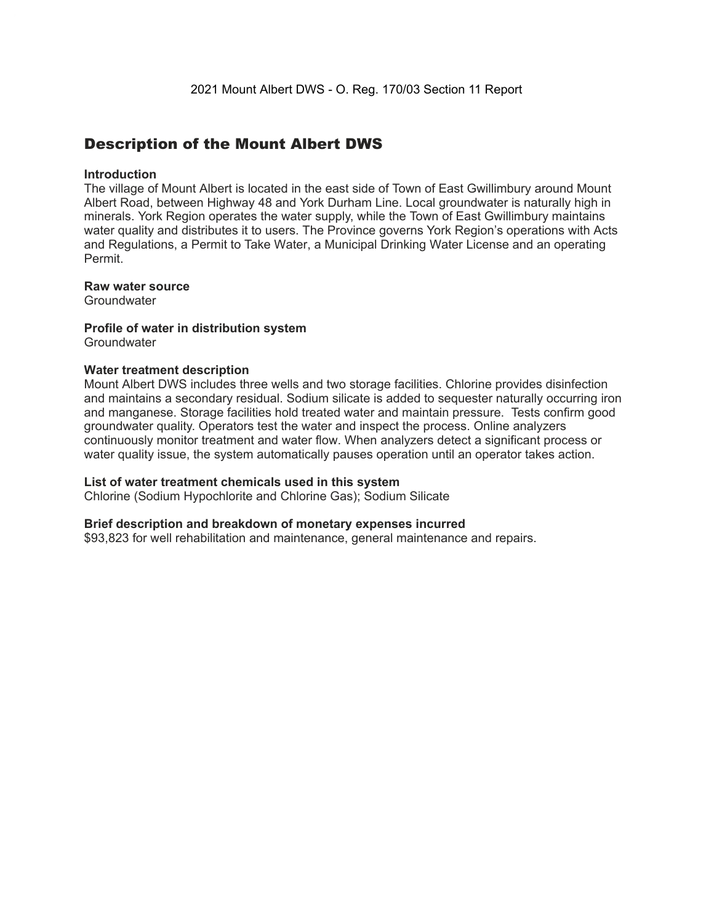### Description of the Mount Albert DWS

#### **Introduction**

The village of Mount Albert is located in the east side of Town of East Gwillimbury around Mount Albert Road, between Highway 48 and York Durham Line. Local groundwater is naturally high in minerals. York Region operates the water supply, while the Town of East Gwillimbury maintains water quality and distributes it to users. The Province governs York Region's operations with Acts and Regulations, a Permit to Take Water, a Municipal Drinking Water License and an operating Permit.

#### **Raw water source**

**Groundwater** 

### **Profile of water in distribution system**

**Groundwater** 

#### **Water treatment description**

Mount Albert DWS includes three wells and two storage facilities. Chlorine provides disinfection and maintains a secondary residual. Sodium silicate is added to sequester naturally occurring iron and manganese. Storage facilities hold treated water and maintain pressure. Tests confirm good groundwater quality. Operators test the water and inspect the process. Online analyzers continuously monitor treatment and water flow. When analyzers detect a significant process or water quality issue, the system automatically pauses operation until an operator takes action.

#### **List of water treatment chemicals used in this system**

Chlorine (Sodium Hypochlorite and Chlorine Gas); Sodium Silicate

#### **Brief description and breakdown of monetary expenses incurred**

\$93,823 for well rehabilitation and maintenance, general maintenance and repairs.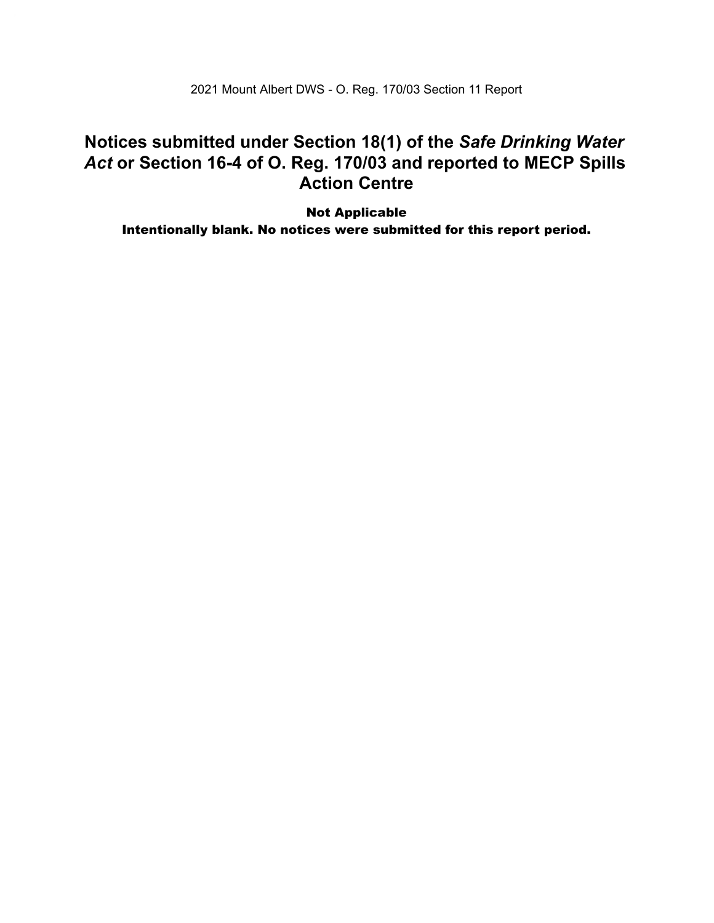2021 Mount Albert DWS - O. Reg. 170/03 Section 11 Report

### **Notices submitted under Section 18(1) of the** *Safe Drinking Water Act* **or Section 16-4 of O. Reg. 170/03 and reported to MECP Spills Action Centre**

 $\frac{N}{2}$  Not Applicable  $\frac{N}{2}$ Intentionally blank. No notices were submitted for this report period.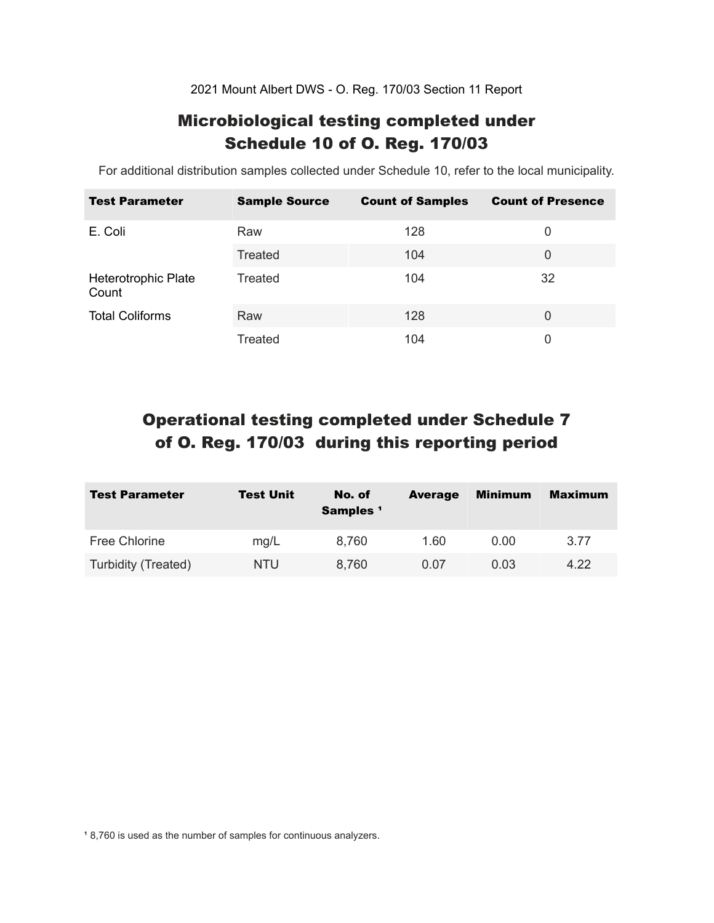2021 Mount Albert DWS - O. Reg. 170/03 Section 11 Report

## Microbiological testing completed under Schedule 10 of O. Reg. 170/03

For additional distribution samples collected under Schedule 10, refer to the local municipality.

| <b>Test Parameter</b>        | <b>Sample Source</b> | <b>Count of Samples</b> | <b>Count of Presence</b> |
|------------------------------|----------------------|-------------------------|--------------------------|
| E. Coli                      | Raw                  | 128                     | 0                        |
|                              | Treated              | 104                     | 0                        |
| Heterotrophic Plate<br>Count | Treated              | 104                     | 32                       |
| <b>Total Coliforms</b>       | Raw                  | 128                     | $\Omega$                 |
|                              | Treated              | 104                     | 0                        |

## Operational testing completed under Schedule 7 of O. Reg. 170/03 during this reporting period

| <b>Test Parameter</b> | <b>Test Unit</b> | No. of<br>Samples <sup>1</sup> | <b>Average</b> | <b>Minimum</b> | <b>Maximum</b> |
|-----------------------|------------------|--------------------------------|----------------|----------------|----------------|
| <b>Free Chlorine</b>  | mg/L             | 8.760                          | 1.60           | 0.00           | 3.77           |
| Turbidity (Treated)   | NTU              | 8,760                          | 0.07           | 0.03           | 4.22           |

<sup>1</sup> 8,760 is used as the number of samples for continuous analyzers.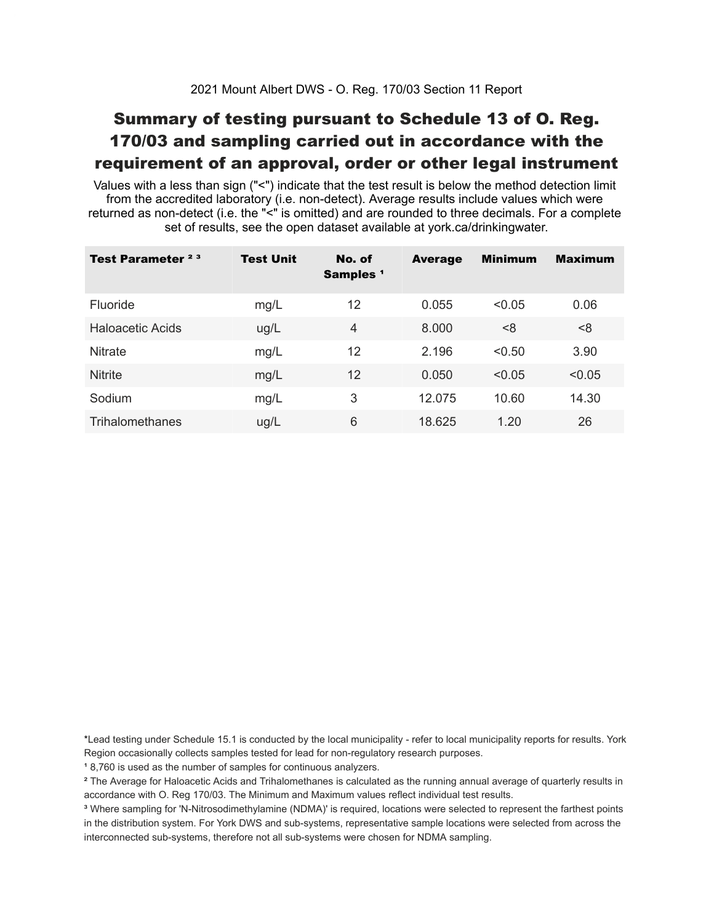## Summary of testing pursuant to Schedule 13 of O. Reg. 170/03 and sampling carried out in accordance with the requirement of an approval, order or other legal instrument

 Values with a less than sign ("<") indicate that the test result is below the method detection limit from the accredited laboratory (i.e. non-detect). Average results include values which were returned as non-detect (i.e. the "<" is omitted) and are rounded to three decimals. For a complete set of results, see the open dataset available at york.ca/drinkingwater.

| Test Parameter <sup>23</sup> | <b>Test Unit</b> | No. of<br>Samples <sup>1</sup> | <b>Average</b> | <b>Minimum</b> | <b>Maximum</b> |
|------------------------------|------------------|--------------------------------|----------------|----------------|----------------|
| Fluoride                     | mg/L             | 12                             | 0.055          | < 0.05         | 0.06           |
| Haloacetic Acids             | ug/L             | $\overline{4}$                 | 8.000          | <8             | <8             |
| <b>Nitrate</b>               | mg/L             | 12                             | 2.196          | < 0.50         | 3.90           |
| <b>Nitrite</b>               | mg/L             | 12                             | 0.050          | < 0.05         | < 0.05         |
| Sodium                       | mg/L             | 3                              | 12.075         | 10.60          | 14.30          |
| Trihalomethanes              | ug/L             | 6                              | 18.625         | 1.20           | 26             |

 \*Lead testing under Schedule 15.1 is conducted by the local municipality - refer to local municipality reports for results. York Region occasionally collects samples tested for lead for non-regulatory research purposes.

<sup>1</sup>8,760 is used as the number of samples for continuous analyzers.

 $\mathrm{^2}$  The Average for Haloacetic Acids and Trihalomethanes is calculated as the running annual average of quarterly results in accordance with O. Reg 170/03. The Minimum and Maximum values reflect individual test results.

<sup>3</sup> Where sampling for 'N-Nitrosodimethylamine (NDMA)' is required, locations were selected to represent the farthest points in the distribution system. For York DWS and sub-systems, representative sample locations were selected from across the interconnected sub-systems, therefore not all sub-systems were chosen for NDMA sampling.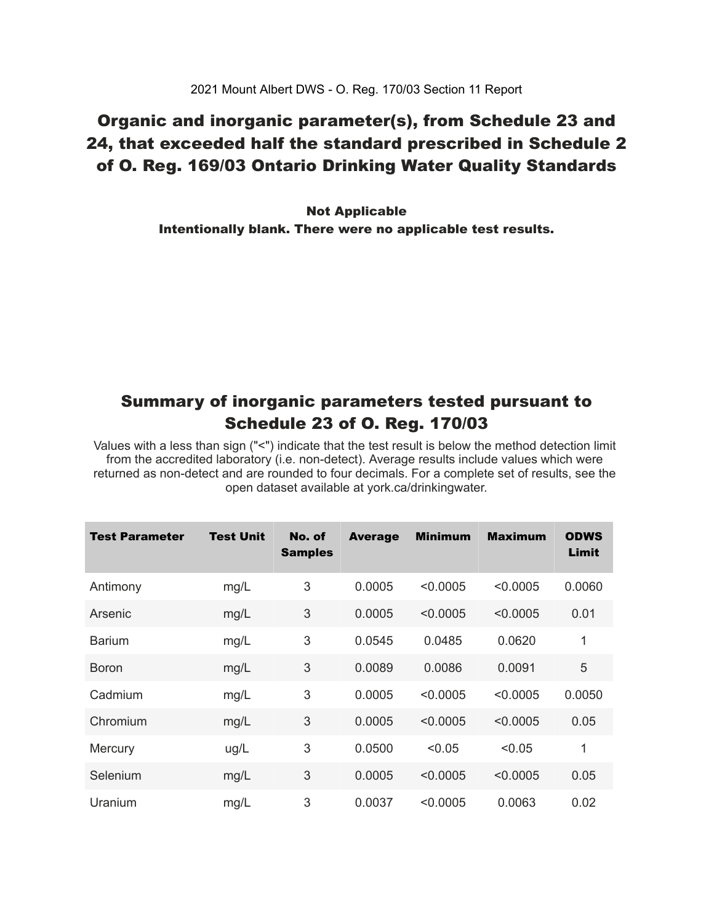## Organic and inorganic parameter(s), from Schedule 23 and 24, that exceeded half the standard prescribed in Schedule 2 of O. Reg. 169/03 Ontario Drinking Water Quality Standards

 Intentionally blank. There were no applicable test results. Not Applicable

### Summary of inorganic parameters tested pursuant to Schedule 23 of O. Reg. 170/03

 Values with a less than sign ("<") indicate that the test result is below the method detection limit from the accredited laboratory (i.e. non-detect). Average results include values which were returned as non-detect and are rounded to four decimals. For a complete set of results, see the open dataset available at york.ca/drinkingwater.

| <b>Test Parameter</b> | <b>Test Unit</b> | No. of<br><b>Samples</b> | <b>Average</b> | <b>Minimum</b> | <b>Maximum</b> | <b>ODWS</b><br>Limit |
|-----------------------|------------------|--------------------------|----------------|----------------|----------------|----------------------|
| Antimony              | mg/L             | 3                        | 0.0005         | < 0.0005       | < 0.0005       | 0.0060               |
| Arsenic               | mg/L             | 3                        | 0.0005         | < 0.0005       | < 0.0005       | 0.01                 |
| <b>Barium</b>         | mg/L             | 3                        | 0.0545         | 0.0485         | 0.0620         | 1                    |
| <b>Boron</b>          | mg/L             | 3                        | 0.0089         | 0.0086         | 0.0091         | 5                    |
| Cadmium               | mg/L             | 3                        | 0.0005         | < 0.0005       | < 0.0005       | 0.0050               |
| Chromium              | mg/L             | 3                        | 0.0005         | < 0.0005       | < 0.0005       | 0.05                 |
| Mercury               | ug/L             | 3                        | 0.0500         | < 0.05         | < 0.05         | 1                    |
| Selenium              | mg/L             | 3                        | 0.0005         | < 0.0005       | < 0.0005       | 0.05                 |
| Uranium               | mg/L             | 3                        | 0.0037         | < 0.0005       | 0.0063         | 0.02                 |